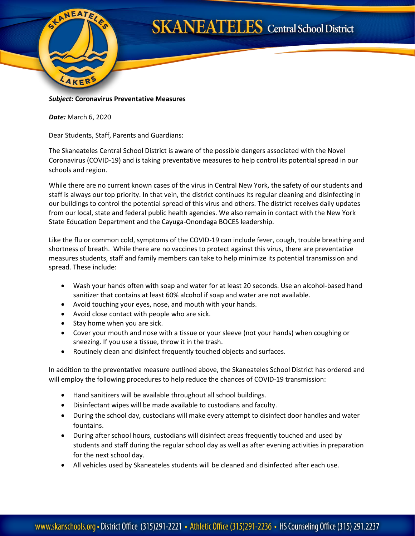

## **SKANEATELES** Central School District

## *Subject:* **Coronavirus Preventative Measures**

*Date:* March 6, 2020

Dear Students, Staff, Parents and Guardians:

The Skaneateles Central School District is aware of the possible dangers associated with the Novel Coronavirus (COVID-19) and is taking preventative measures to help control its potential spread in our schools and region.

While there are no current known cases of the virus in Central New York, the safety of our students and staff is always our top priority. In that vein, the district continues its regular cleaning and disinfecting in our buildings to control the potential spread of this virus and others. The district receives daily updates from our local, state and federal public health agencies. We also remain in contact with the New York State Education Department and the Cayuga-Onondaga BOCES leadership.

Like the flu or common cold, symptoms of the COVID-19 can include fever, cough, trouble breathing and shortness of breath. While there are no vaccines to protect against this virus, there are preventative measures students, staff and family members can take to help minimize its potential transmission and spread. These include:

- Wash your hands often with soap and water for at least 20 seconds. Use an alcohol-based hand sanitizer that contains at least 60% alcohol if soap and water are not available.
- Avoid touching your eyes, nose, and mouth with your hands.
- Avoid close contact with people who are sick.
- Stay home when you are sick.
- Cover your mouth and nose with a tissue or your sleeve (not your hands) when coughing or sneezing. If you use a tissue, throw it in the trash.
- Routinely clean and disinfect frequently touched objects and surfaces.

In addition to the preventative measure outlined above, the Skaneateles School District has ordered and will employ the following procedures to help reduce the chances of COVID-19 transmission:

- Hand sanitizers will be available throughout all school buildings.
- Disinfectant wipes will be made available to custodians and faculty.
- During the school day, custodians will make every attempt to disinfect door handles and water fountains.
- During after school hours, custodians will disinfect areas frequently touched and used by students and staff during the regular school day as well as after evening activities in preparation for the next school day.
- All vehicles used by Skaneateles students will be cleaned and disinfected after each use.